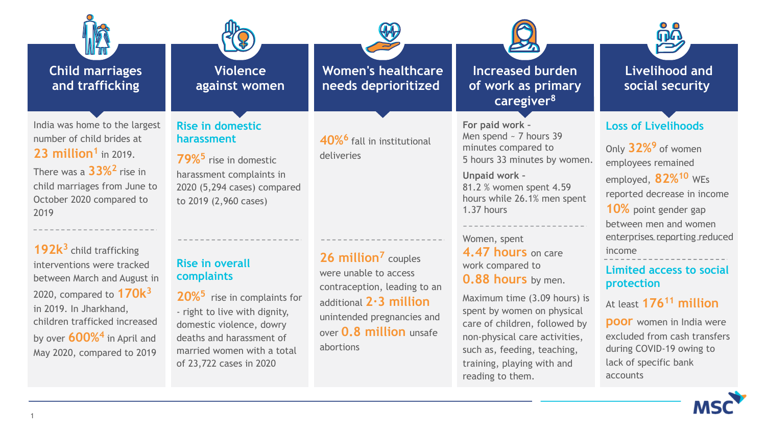| <b>Child marriages</b><br>and trafficking                                                                                                                                                                                                                                                                                                                        | <b>Violence</b><br>against women                                                                                                                                                                                                                                                         | <b>Women's healthcare</b><br>needs deprioritized                                                                                                                                                           | <b>Increased burden</b><br>of work as primary<br>caregiver <sup>8</sup>                                                                                                                                                                                                                                                                             | <b>Livelihood and</b><br>social security                                                                                                                                                                                                                                                                                         |
|------------------------------------------------------------------------------------------------------------------------------------------------------------------------------------------------------------------------------------------------------------------------------------------------------------------------------------------------------------------|------------------------------------------------------------------------------------------------------------------------------------------------------------------------------------------------------------------------------------------------------------------------------------------|------------------------------------------------------------------------------------------------------------------------------------------------------------------------------------------------------------|-----------------------------------------------------------------------------------------------------------------------------------------------------------------------------------------------------------------------------------------------------------------------------------------------------------------------------------------------------|----------------------------------------------------------------------------------------------------------------------------------------------------------------------------------------------------------------------------------------------------------------------------------------------------------------------------------|
| India was home to the largest<br>number of child brides at<br>23 million <sup>1</sup> in 2019.<br>There was a $33\%$ <sup>2</sup> rise in<br>child marriages from June to<br>October 2020 compared to<br>2019<br>$192k^3$ child trafficking<br>interventions were tracked<br>between March and August in<br>2020, compared to $170k^3$<br>in 2019. In Jharkhand, | <b>Rise in domestic</b><br>harassment<br><b>79%<sup>5</sup></b> rise in domestic<br>harassment complaints in<br>2020 (5,294 cases) compared<br>to 2019 (2,960 cases)<br><b>Rise in overall</b><br>complaints<br>20% <sup>5</sup> rise in complaints for<br>- right to live with dignity, | 40% <sup>6</sup> fall in institutional<br>deliveries<br>26 million <sup>7</sup> couples<br>were unable to access<br>contraception, leading to an<br>additional $2.3$ million<br>unintended pregnancies and | For paid work -<br>Men spend $\sim$ 7 hours 39<br>minutes compared to<br>5 hours 33 minutes by women.<br>Unpaid work -<br>81.2 % women spent 4.59<br>hours while 26.1% men spent<br>1.37 hours<br>Women, spent<br>4.47 hours on care<br>work compared to<br><b>0.88 hours</b> by men.<br>Maximum time (3.09 hours) is<br>spent by women on physical | <b>Loss of Livelihoods</b><br>Only 32% <sup>9</sup> of women<br>employees remained<br>employed, 82% <sup>10</sup> WEs<br>reported decrease in income<br>10% point gender gap<br>between men and women<br>enterprises reporting reduced<br>income<br>Limited access to social<br>protection<br>At least 176 <sup>11</sup> million |
| children trafficked increased<br>by over 600% <sup>4</sup> in April and<br>May 2020, compared to 2019                                                                                                                                                                                                                                                            | domestic violence, dowry<br>deaths and harassment of<br>married women with a total<br>of 23,722 cases in 2020                                                                                                                                                                            | over <b>0.8 million</b> unsafe<br>abortions                                                                                                                                                                | care of children, followed by<br>non-physical care activities,<br>such as, feeding, teaching,<br>training, playing with and<br>reading to them.                                                                                                                                                                                                     | <b>poor</b> women in India were<br>excluded from cash transfers<br>during COVID-19 owing to<br>lack of specific bank<br>accounts                                                                                                                                                                                                 |